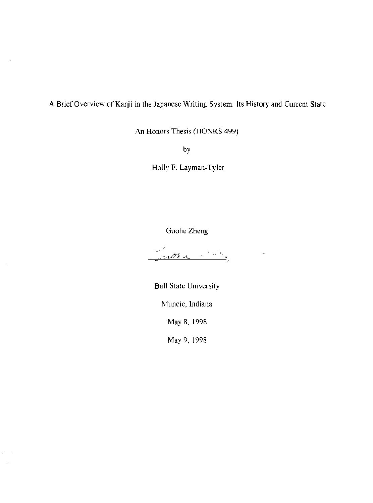**A** Brief Overview of Kanji **in the Japanese Writing System Its History and Current State** 

An Honors Thesis (HONRS 499)

by

Holly F. Layman-Tyler

Guohe Zheng

Judia 1883

**Ball State University** 

**Muncie, Indiana** 

May 8, 1998

May 9, 1998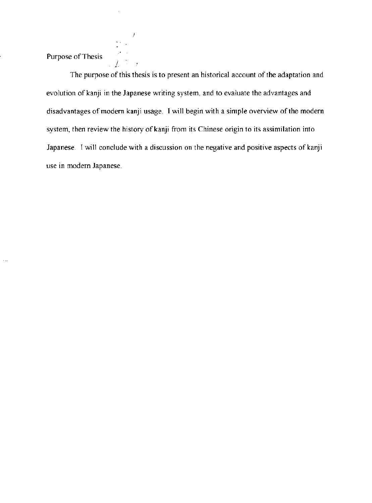Purpose of Thesis

I

The purpose of this thesis is to present an historical account of the adaptation and evolution of kanji in the Japanese writing system, and to evaluate the advantages and disadvantages of modern kanji usage. I will begin with a simple overview of the modern system, then review the history of kanji from its Chinese origin to its assimilation into Japanese. I will conclude with a discussion on the negative and positive aspects of kanji use in modern Japanese.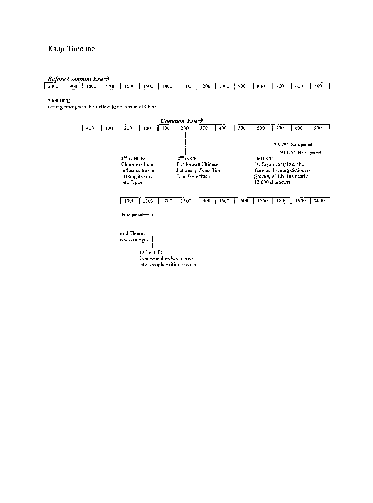# Kanji Timeline

#### **Before Common Era >**

 $\boxed{2000}$  1900  $\boxed{1800}$   $\boxed{1700}$   $\boxed{1600}$  1500 | 1400 | 1300 | 1200 | 1000 | 900 | 800 | 700 | 600 | 500 | Í

#### 2000 BCE:

writing emerges in the Yellow River region of China

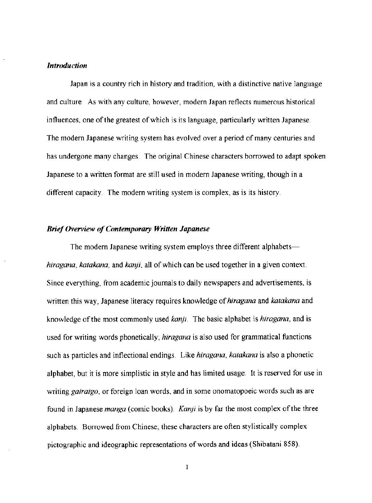#### *Introduction*

Japan is a country rich in history and tradition, with a distinctive native language and culture As with any culture, however, modern Japan reflects numerous historical influences, one of the greatest of which is its language, particularly written Japanese. The modern Japanese writing system has evolved over a period of many centuries and has undergone many changes. The original Chinese characters borrowed to adapt spoken Japanese to a written format are still used in modem Japanese writing, though in a different capacity. The modern writing system is complex, as is its history.

## *Brief Overview of Omtemporary Written Japanese*

The modern Japanese writing system employs three different alphabets*hiragana, katakana,* and *kanji,* all of which can be used together in a given context Since everything, from academic journals to daily newspapers and advertisements. is written this way, Japanese literacy requires knowledge of *hiragana* and *katakana* and knowledge of the most commonly used *kanji* The basic alphabet is *hiragana,* and is used for writing words phonetically; *hiragana* is also used for grammatical functions such as particles and inflectional endings. Like *hiragana, katakana* is also a phonetic alphabet, but it is more simplistic in style and has limited usage. It is reserved for use in writing *gairaigo,* or foreign loan words, and in some onomatopoeic words such as are found in Japanese *manga* (comic books). *Kmyi* is by far the most complex of the three alphabets. Borrowed from Chinese, these characters are often stylistically complex pictographic and ideographic representations of words and ideas (Shibatani 858).

 $\mathbf{I}$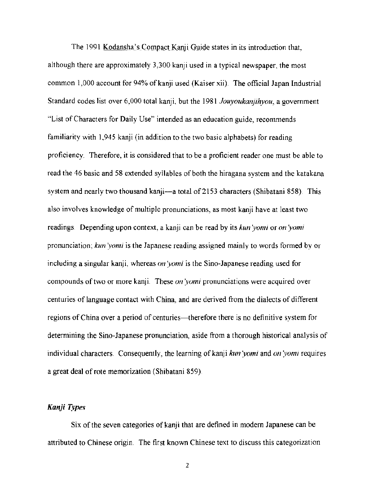The 1991 Kodansha's Compact Kanji Guide states in its introduction that. although there are approximately 3,300 kanji used in a typical newspaper, the most common 1,000 account for 94% of kanji used (Kaiser xii). The official Japan Industrial Standard codes list over 6,000 total kanji, but the 1981 *Jouyoukanjihyou*, a government "List of Characters for Daily Use" intended as an education guide, recommends familiarity with 1,945 kanji (in addition to the two basic alphabets) for reading proficiency. Therefore. it is considered that to be a proficient reader one must be able to read the 46 basic and 58 extended syllables of both the hiragana system and the katakana system and nearly two thousand kanji—a total of 2153 characters (Shibatani 858). This also involves knowledge of multiple pronunciations, as most kanji have at least two readings. Depending upon context, a kanji can be read by its *kun'yomi* or *on'yomi* pronunciation; *kiln :vomi* is the Japanese reading assigned mainly to words formed by or including a singular kanji, whereas *on 'yomi* is the Sino-Japanese reading used for compounds of two or more kanji. These *on :vomi* pronunciations were acquired over centuries of language contact with China, and are derived from the dialects of different regions of China over a period of centuries—therefore there is no definitive system for determining the Sino-Japanese pronunciation, aside from a thorough historical analysis of individual characters. Consequently, the learning of kanji *kun 'yomi* and *on 'yomi* requires a great deal of rote memorization (Shibatani 859).

## *Kanji Type ...*

Six of the seven categories of kanji that are defined in modern Japanese can be attributed to Chinese origin. The first known Chinese text to discuss this categorization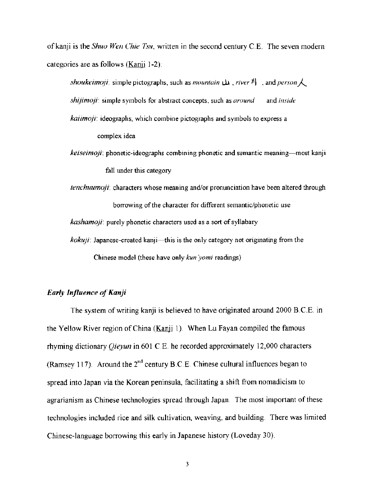of kanji is the *Shuo Wen Chie Tsu*, written in the second century C.E. The seven modern categories are as follows (Kanji 1-2):

*shoukeimoji:* simple pictographs, such as *mountain*  $\mu$ , *river*  $\mathcal{V}$  , and *person*  $\lambda$ *shijimojr* simple symbols for abstract concepts, such as *around* and *imide kaiimoji:* ideographs, which combine pictographs and symbols to express a

complex idea

- *keiseimoji:* phonetic-ideographs combining phonetic and semantic meaning—most kanji fall under this category
- *tenchuumoji"* characters whose meaning and/or pronunciation have been altered through borrowing of the character for different semantic/phonetic use *kashamoji*: purely phonetic characters used as a sort of syllabary
- *kokuji:* Japanese-created kanji-this is the only category not originating from the Chmese model (these have only *kun yomi* readings)

## *Ear(v Influence of Kanji*

The system of writing kanji is believed to have originated around 2000 B.C.E. in the Yellow River region of China (Kanji 1). When Lu Fayan compiled the famous rhyming dictionary *Qieyun* in 601 C E. he recorded approximately 12,000 characters (Ramsey 117). Around the  $2<sup>nd</sup>$  century B.C.E. Chinese cultural influences began to spread into Japan via the Korean peninsula, facilitating a shift from nomadicism to agrarianism as Chinese technologies spread through Japan The most important of these technologies included rice and silk cultivation, weaving, and building. There was limited Chinese-language borrowing this early in Japanese history (Loveday 30).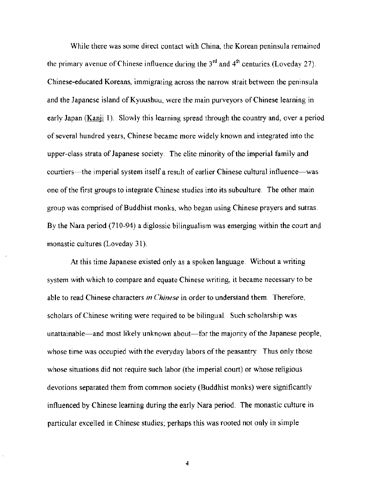While there was some direct contact with China, the Korean peninsula remained the primary avenue of Chinese influence during the  $3<sup>rd</sup>$  and  $4<sup>th</sup>$  centuries (Loveday 27). Chinese-educated Koreans, immigrating across the narrow strait between the peninsula and the Japanese island of Kyuushuu, were the main purveyors of Chinese learning in early Japan (Kanji 1). Slowly this learning spread through the country and, over a period the primary avenue of Chinese influence during the 3<sup>rd</sup> and 4<sup>th</sup> centuries (Loveday 27).<br>Chinese-educated Koreans, immigrating across the narrow strait between the peninsuland the Japanese island of Kyuushuu, were the ma upper-class strata of Japanese society. The elite minority of the imperial family and courtiers—the imperial system itself a result of earlier Chinese cultural influence—was one of the first groups to integrate Chinese studies into its subculture. The other main group was comprised of Buddhist monks, who began using Chinese prayers and sutras. By the Nara period (710-94) a diglossic bilingualism was emerging within the court and monastic cultures (Loveday 31).

At this time Japanese existed only as a spoken language. Without a writing system with which to compare and equate Chinese writing, it became necessary to be able to read Chinese characters *in Chinese* in order to understand them. Therefore, scholars of Chinese writing were required to be bilingual. Such scholarship was unattainable—and most likely unknown about—for the majority of the Japanese people, whose time was occupied with the everyday labors of the peasantry. Thus only those whose situations did not require such labor (the imperial court) or whose religious devotions separated them from common society (Buddhist monks) were significantly influenced by Chinese learning during the early Nara period. The monastic culture in particular excelled in Chinese studies; perhaps this was rooted not only in simple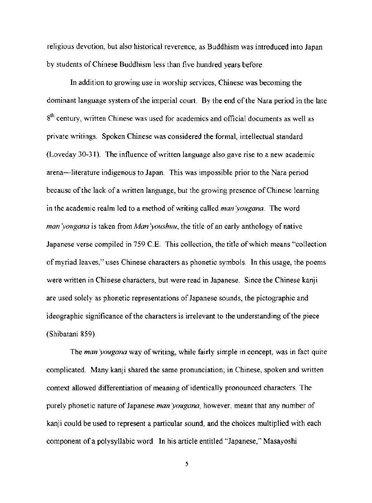religious devotion. but also historical reverence, as Buddhism was introduced into Japan by students of Chinese Buddhism less than five hundred years before.

In addition to growing use in worship services, Chinese was becoming the dominant language system of the imperial court. By the end of the Nara period in the late 8<sup>th</sup> century, written Chinese was used for academics and official documents as well as private writings. Spoken Chinese was considered the formal. intellectual standard (Loveday 30-31). The influence of written language also gave rise to a new academic arena-literature indigenous to Japan. This was impossible prior to the Nara period because of the lack of a written language, but the growing presence of Chinese learning in the academic realm led to a method of writing called *man'yougana*. The word man yougana is taken from Man youshuu, the title of an early anthology of native Japanese verse compiled in 759 C.E. This collection, the title of which means "collection" of myriad leaves." uses Chinese characters as phonetic symbols. In this usage, the poems were written in Chinese characters, but were read in Japanese. Since the Chinese kanji are used solely as phonetic representations of Japanese sounds, the pictographic and ideographic significance of the characters is irrelevant to the understanding of the piece (Shibatani 859)

The *man 'yougana* way of writing, while fairly simple in concept, was in fact quite complicated. Many kanji shared the same pronunciation; in Chinese. spoken and written context allowed differentiation of meaning of identically pronounced characters. The purely phonetic nature of Japanese *man :vougana.* however. meant that any number of kanji could be used to represent a particular sound, and the choices multiplied with each component of a polysyllabic word In his article entitled "Japanese," Masayoshi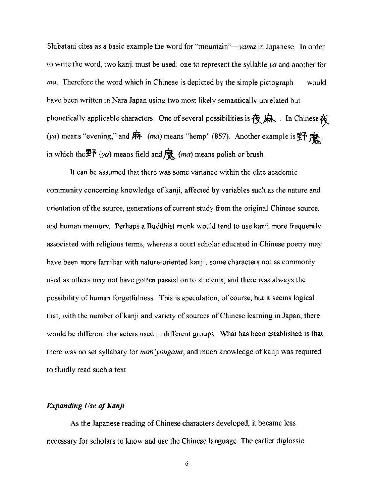Shibatani cites as a basic example the word for "mountain"-*yama* in Japanese. In order to write the word, two kanji must be used: one to represent the syllable *ya* and another for *ma*. Therefore the word which in Chinese is depicted by the simple pictograph would have been written in Nara Japan using two most likely semantically unrelated but phonetically applicable characters. One of several possibilities is  $\bigoplus \not \Rightarrow$  In Chinese  $\bigoplus$ (va) means "evening," and  $\vec{p}$  (ma) means "hemp" (857). Another example is  $\vec{p}$   $\vec{p}$ . in which the  $\overline{\mathbb{P}^2}$  (ya) means field and  $\overline{\mathbb{R}}$  (ma) means polish or brush.

It can be assumed that there was some variance within the elite academic community concerning knowledge of kanji, affected by variables such as the nature and orientation of the source, generations of current study from the original Chinese source, and human memory. Perhaps a Buddhist monk would tend to use kanji more frequently associated with religious terms, whereas a court scholar educated in Chinese poetry may have been more familiar with nature-oriented kanji, some characters not as commonly used as others may not have gotten passed on to students; and there was always the possibility of human forgetfulness. This is speculation, of course, but it seems logical that. with the number of kanji and variety of sources of Chinese learning in Japan, there would be different characters used in different groups. What has been established is that there was no set syllabary for *man'yougana*, and much knowledge of kanji was required to fluidly read such a text

### *Expanding Use of Kanji*

As the Japanese reading of Chinese characters developed, it became less necessary for scholars to know and use the Chinese language. The earlier diglossic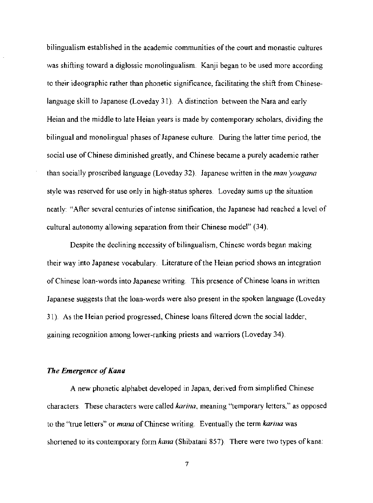bilingualism established in the academic communities of the court and monastic cultures was shifting toward a diglossic monolingualism. Kanji began to be used more according to their ideographic rather than phonetic significance, facilitating the shift from Chineselanguage skill to Japanese (Loveday 31). A distinction between the Nara and early Heian and the middle to late Heian years is made by contemporary scholars, dividing the bilingual and monolingual phases of Japanese culture. During the latter time period, the social use of Chinese diminished greatly, and Chinese became a purely academic rather than socially proscribed language (Loveday 32). Japanese written in the *man :vougana*  style was reserved for use only in high-status spheres. Loveday sums up the situation neatly: "After several centuries of intense sinification, the Japanese had reached a level of cultural autonomy allowing separation from their Chinese model" (34).

Despite the declining necessity of bilingualism, Chinese words began making their way into Japanese vocabulary. Literature of the Heian period shows an integration of Chinese loan-words into Japanese writing. This presence of Chinese loans in written Japanese suggests that the loan-words were also present in the spoken language (Loveday 31) As the Heian period progressed, Chinese loans filtered down the social ladder, gaining recognition among lower-ranking priests and warriors (Loveday 34).

#### *The Emergence of Kana*

A new phonetic alphabet developed in Japan, derived from simplified Chinese characters. These characters were called *karina*, meaning "temporary letters," as opposed to the ''true letters" or *mana* of Chinese writing. Eventually the term *karina* was shortened to its contemporary form *kana* (Shibatani 857). There were two types of kana: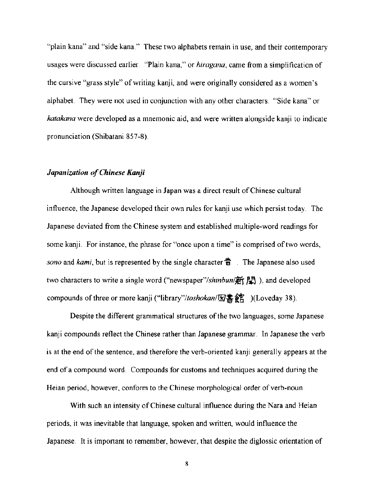"plain kana" and "side kana," These two alphabets remain in use, and their contemporary usages were discussed earlier "Plain kana," or *hiragana,* came from a simplification of the cursive "grass style" of writing kanji, and were originally considered as a women's alphabet. They were not used in conjunction with any other characters. "Side kana" or *katakana* were developed as a mnemonic aid, and were written alongside kanji to indicate pronunciation (Shibatani 857-8),

## *Japanization of Chinese Kanji*

Although written language in Japan was a direct result of Chinese cultural influence, the Japanese developed their own rules for kanji use which persist today, The Japanese deviated from the Chinese system and established multiple-word readings for some kanji. For instance, the phrase for "once upon a time" is comprised of two words, *sono* and *kami*, but is represented by the single character 昔 The Japanese also used two characters to write a single word ("newspaper"/shinbun/新聞), and developed compounds of three or more kanji ("library"/toshokan/ $\mathbb{Z}^*$   $\circ$   $($ Loveday 38).

Despite the different grammatical structures of the two languages, some Japanese kanji compounds reflect the Chinese rather than Japanese grammar. In Japanese the verb is at the end of the sentence, and therefore the verb-oriented kanji generally appears at the end of a compound word, Compounds for customs and techniques acquired during the Heian period, however, conform to the Chinese morphological order of verb-noun.

With such an intensity of Chinese cultural influence during the Nara and Heian periods, it was inevitable that language, spoken and written, would influence the Japanese. It is important to remember, however, that despite the diglossic orientation of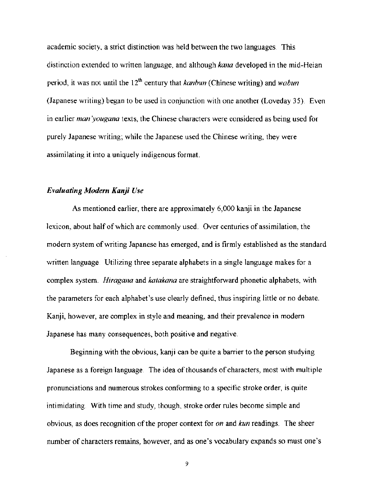academic society, a strict distinction was held between the two languages, This distinction extended to written language, and although *kana* developed in the mid-Heian period, it was not until the 12<sup>th</sup> century that *kanbun* (Chinese writing) and *wabun* (Japanese writing) began to be used in conjunction with one another (Lovedav 35), Even in earlier *man 'yougana* texts, the Chinese characters were considered as being used for purely Japanese writing; while the Japanese used the Chinese writing, they were assimilating it into a uniquely indigenous format.

## *Evaluating Modern Kanji Use*

As mentioned earlier, there are approximately 6,000 kanji in the Japanese lexicon, about half of which are commonly used. Over centuries of assimilation, the modern system of writing Japanese has emerged, and is firmly established as the standard written language Utilizing three separate alphabets in a single language makes for a complex system. *Hiragana* and *katakana* are straightforward phonetic alphabets, with the parameters for each alphabet's use clearly defined, thus inspiring little or no debate. Kanji, however, are complex in style and meaning, and their prevalence in modern Japanese has many consequences, both positive and negative,

Beginning with the obvious, kanji can be quite a barrier to the person studying Japanese as a foreign language. The idea of thousands of characters, most with multiple pronunciations and numerous strokes conforming to a specific stroke order, is quite intimidating, With time and study, though, stroke order rules become simple and obvious, as does recognition of the proper context for *on* and *kun* readings. The sheer number of characters remains, however, and as one's vocabulary expands so must one's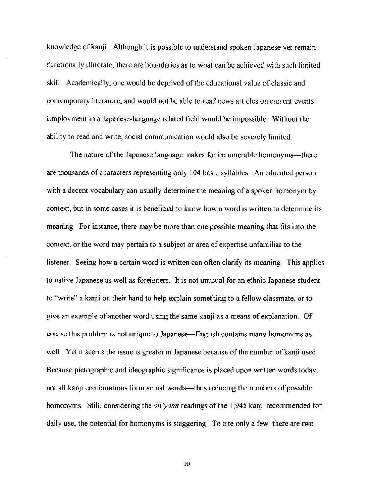knowledge of kanji. Although it is possible to understand spoken Japanese yet remain functionally illiterate, there are boundaries as to what can be achieved with such limited skill. Academically. one would be deprived of the educational value of classic and contemporary literature. and would not be able to read news articles on current events. Employment in a Japanese-language related field would be impossible. Without the ability to read and write, social communication would also be severely limited.

The nature of the Japanese language makes for innumerable homonyms—there are thousands of characters representing only 104 basic syllables. An educated person with a decent vocabulary can usually determine the meaning of a spoken homonym by context. but in some cases it is beneficial to know how a word is written to detennine its meaning For instance, there may be more than one possible meaning that fits into the context. or the word may pertain to a subject or area of expertise unfamiliar to the listener. Seeing how a certain word is written can often clarify its meaning. This applies to native Japanese as well as foreigners. It is not unusual for an ethnic Japanese student to "write" a kanji on their hand to help explain something to a fellow classmate, or to give an example of another word using the same kanji as a means of explanation. Of course this problem is not unique to Japanese-English contains many homonyms as well. Yet it seems the issue is greater in Japanese because of the number of kanji used. Because pictographic and ideographic significance is placed upon written words today, not all kanji combinations form actual words—thus reducing the numbers of possible homonyms. Still, considering the *on 'yomi* readings of the 1.945 kanji recommended for daily use, the potential for homonyms is staggering. To cite only a few: there are two

to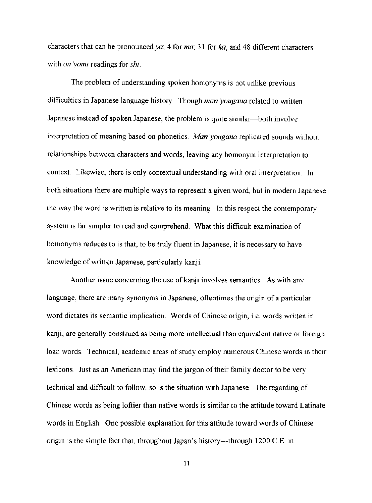characters that can be pronounced *ya*;  $4$  for  $ma$ ;  $31$  for  $ka$ , and  $48$  different characters with *on 'yomi* readings for *shi*.

The problem of understanding spoken homonyms is not unlike previous difficulties in Japanese language history. Though *man :vougana* related to written Japanese instead of spoken Japanese, the problem is quite similar—both involve interpretation of meaning based on phonetics. Man yougana replicated sounds without relationships between characters and words, leaving any homonym interpretation to context. Likewise, there is only contextual understanding with oral interpretation. In both situations there are multiple ways to represent a given word, but in modern Japanese the way the word is written is relative to its meaning. In this respect the contemporary system is far simpler to read and comprehend. What this difficult examination of homonyms reduces to is that, to be truly fluent in Japanese, it is necessary to have knowledge of written Japanese, particularly kanji.

Another issue concerning the use of kanji involves semantics As with any language, there are many synonyms in Japanese; oftentimes the origin of a particular word dictates its semantic implication. Words of Chinese origin, i.e. words written in kanji, are generally construed as being more intellectual than equivalent native or foreign loan words. Technical, academic areas of study employ numerous Chinese words in their lexicons Just as an American may find the jargon of their family doctor to be very technical and difficult to follow, so is the situation with Japanese. The regarding of Chinese words as being loftier than native words is similar to the attitude toward Latinate words in English. One possible explanation for this attitude toward words of Chinese origin is the simple fact that, throughout Japan's history—through 1200 C.E. in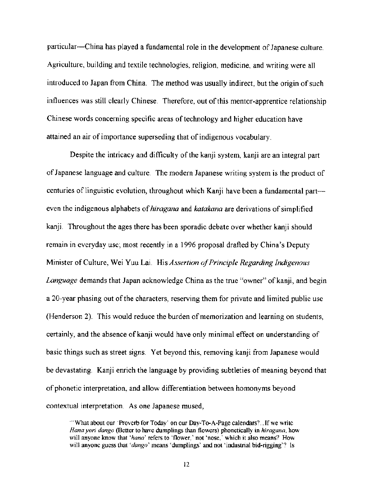particular--China has played a fundamental role in the development of Japanese culture. Agriculture, building and textile technologies, religion, medicine, and writing were all introduced to Japan from China. The method was usually indirect, but the origin of such influences was still clearly Chinese. Therefore, out of this mentor-apprentice relationship Chinese words concerning specific areas of technology and higher education have attained an air of importance superseding that of indigenous vocabulary.

Despite the intricacy and difficulty of the kanji system, kanji are an integral part of Japanese language and culture. The modern Japanese writing system is the product of centuries of linguistic evolution, throughout which Kanji have been a fundamental parteven the indigenous alphabets of *hiragana* and *katakana* are derivations of simplified kanji Throughout the ages there has been sporadic debate over whether kanji should remain in everyday use; most recently in a 1996 proposal drafted by China's Deputy Minister of Culture, Wei Yuu Lai. His *Assertion of Principle Regarding Indigenous Language* demands that Japan acknowledge China as the true "owner" of kanji, and begin a 20-year phasing out of the characters, reserving them for private and limited public use (Henderson 2). This would reduce the burden of memorization and learning on students, certainly, and the absence of kanji would have only minimal effect on understanding of basic things such as street signs. Yet beyond this, removing kanji from Japanese would be devastating. Kanji enrich the language by providing subtleties of meaning beyond that of phonetic interpretation, and allow differentiation between homonyms beyond contextual interpretation. As one Japanese mused,

<sup>&</sup>quot;'What about our 'Proverb for Today' on our Day-To-A-Page calendars?...If we write *Hanayori dango* (Better to have dumplings than flowers) phonetically in *hiragana,* how will anyone know that 'hana' refers to 'flower,' not 'nose,' which it also means? How will anyone guess that *'dango'* means 'dumplings' and not 'industrial bid-rigging'? Is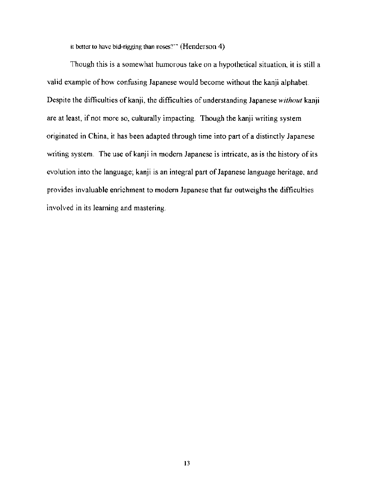It better to have bid-rigging than noses?'" (Henderson 4)

Though this is a somewhat humorous take on a hypothetical situation, it is still a valid example of how confusing Japanese would become without the kanji alphabet. Despite the difficulties of kanji, the difficulties of understanding Japanese *without* kanji are at least, if not more so, culturally impacting. Though the kanji writing system originated in China, it has been adapted through time into part of a distinctly Japanese writing system. The use of kanji in modern Japanese is intricate, as is the history of its evolution into the language; kanji is an integral part of Japanese language heritage, and provides invaluable enrichment to modern Japanese that far outweighs the difficulties involved in its learning and mastering\_